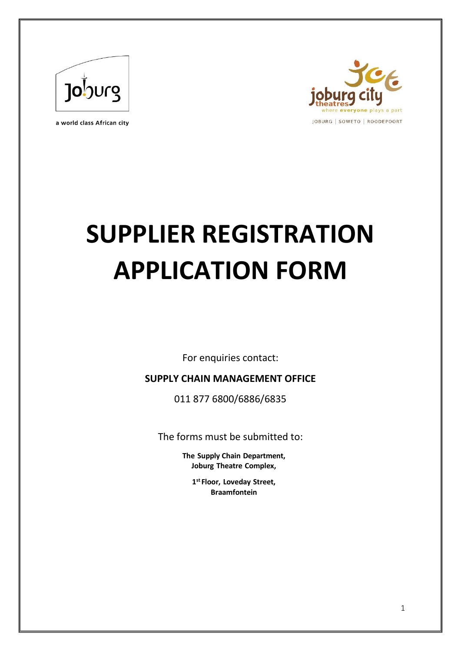

a world class African city



# **SUPPLIER REGISTRATION APPLICATION FORM**

For enquiries contact:

#### **SUPPLY CHAIN MANAGEMENT OFFICE**

011 877 6800/6886/6835

The forms must be submitted to:

**The Supply Chain Department, Joburg Theatre Complex,**

> **1 st Floor, Loveday Street, Braamfontein**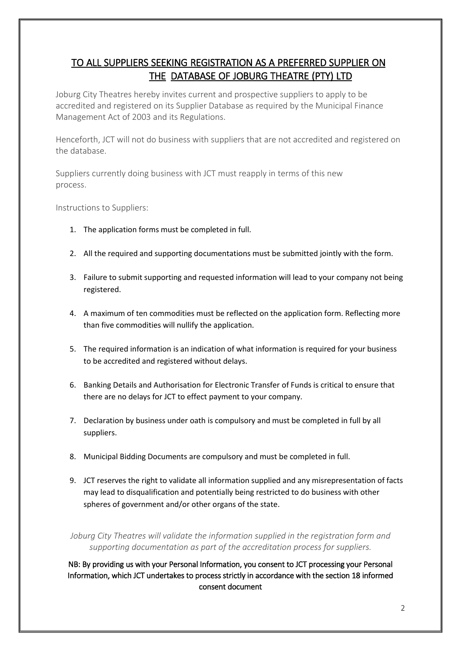## TO ALL SUPPLIERS SEEKING REGISTRATION AS A PREFERRED SUPPLIER ON THE DATABASE OF JOBURG THEATRE (PTY) LTD

Joburg City Theatres hereby invites current and prospective suppliers to apply to be accredited and registered on its Supplier Database as required by the Municipal Finance Management Act of 2003 and its Regulations.

Henceforth, JCT will not do business with suppliers that are not accredited and registered on the database.

Suppliers currently doing business with JCT must reapply in terms of this new process.

Instructions to Suppliers:

- 1. The application forms must be completed in full.
- 2. All the required and supporting documentations must be submitted jointly with the form.
- 3. Failure to submit supporting and requested information will lead to your company not being registered.
- 4. A maximum of ten commodities must be reflected on the application form. Reflecting more than five commodities will nullify the application.
- 5. The required information is an indication of what information is required for your business to be accredited and registered without delays.
- 6. Banking Details and Authorisation for Electronic Transfer of Funds is critical to ensure that there are no delays for JCT to effect payment to your company.
- 7. Declaration by business under oath is compulsory and must be completed in full by all suppliers.
- 8. Municipal Bidding Documents are compulsory and must be completed in full.
- 9. JCT reserves the right to validate all information supplied and any misrepresentation of facts may lead to disqualification and potentially being restricted to do business with other spheres of government and/or other organs of the state.

*Joburg City Theatres will validate the information supplied in the registration form and supporting documentation as part of the accreditation process for suppliers.*

NB: By providing us with your Personal Information, you consent to JCT processing your Personal Information, which JCT undertakes to process strictly in accordance with the section 18 informed consent document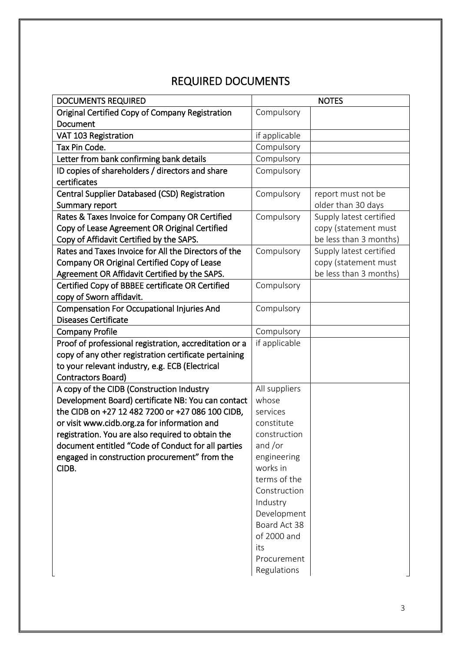# REQUIRED DOCUMENTS

| <b>DOCUMENTS REQUIRED</b>                                                                       |                        | <b>NOTES</b>            |
|-------------------------------------------------------------------------------------------------|------------------------|-------------------------|
| Original Certified Copy of Company Registration                                                 | Compulsory             |                         |
| Document                                                                                        |                        |                         |
| VAT 103 Registration                                                                            | if applicable          |                         |
| Tax Pin Code.                                                                                   | Compulsory             |                         |
| Letter from bank confirming bank details                                                        | Compulsory             |                         |
| ID copies of shareholders / directors and share                                                 | Compulsory             |                         |
| certificates                                                                                    |                        |                         |
| <b>Central Supplier Databased (CSD) Registration</b>                                            | Compulsory             | report must not be      |
| Summary report                                                                                  |                        | older than 30 days      |
| Rates & Taxes Invoice for Company OR Certified                                                  | Compulsory             | Supply latest certified |
| Copy of Lease Agreement OR Original Certified                                                   |                        | copy (statement must    |
| Copy of Affidavit Certified by the SAPS.                                                        |                        | be less than 3 months)  |
| Rates and Taxes Invoice for All the Directors of the                                            | Compulsory             | Supply latest certified |
| Company OR Original Certified Copy of Lease                                                     |                        | copy (statement must    |
| Agreement OR Affidavit Certified by the SAPS.                                                   |                        | be less than 3 months)  |
| Certified Copy of BBBEE certificate OR Certified                                                | Compulsory             |                         |
| copy of Sworn affidavit.                                                                        |                        |                         |
| <b>Compensation For Occupational Injuries And</b>                                               | Compulsory             |                         |
| <b>Diseases Certificate</b>                                                                     |                        |                         |
| <b>Company Profile</b>                                                                          | Compulsory             |                         |
| Proof of professional registration, accreditation or a                                          | if applicable          |                         |
| copy of any other registration certificate pertaining                                           |                        |                         |
| to your relevant industry, e.g. ECB (Electrical                                                 |                        |                         |
| Contractors Board)                                                                              |                        |                         |
| A copy of the CIDB (Construction Industry<br>Development Board) certificate NB: You can contact | All suppliers<br>whose |                         |
| the CIDB on +27 12 482 7200 or +27 086 100 CIDB,                                                | services               |                         |
| or visit www.cidb.org.za for information and                                                    | constitute             |                         |
| registration. You are also required to obtain the                                               | construction           |                         |
| document entitled "Code of Conduct for all parties                                              | and /or                |                         |
| engaged in construction procurement" from the                                                   | engineering            |                         |
| CIDB.                                                                                           | works in               |                         |
|                                                                                                 | terms of the           |                         |
|                                                                                                 | Construction           |                         |
|                                                                                                 | Industry               |                         |
|                                                                                                 | Development            |                         |
|                                                                                                 | Board Act 38           |                         |
|                                                                                                 | of 2000 and            |                         |
|                                                                                                 | its                    |                         |
|                                                                                                 | Procurement            |                         |
|                                                                                                 | Regulations            |                         |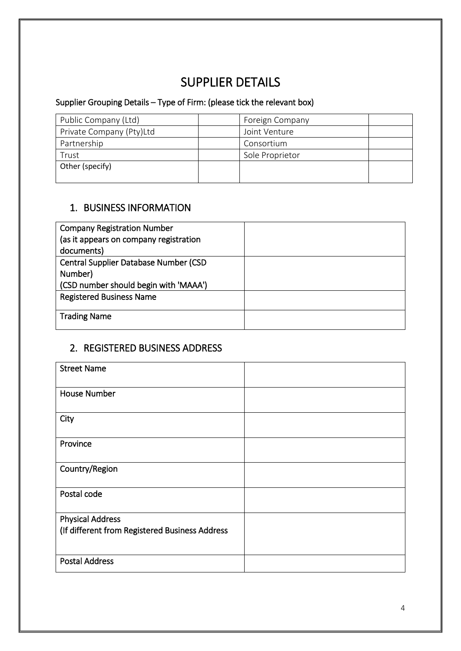# SUPPLIER DETAILS

# Supplier Grouping Details – Type of Firm: (please tick the relevant box)

| Public Company (Ltd)     | Foreign Company |  |
|--------------------------|-----------------|--|
| Private Company (Pty)Ltd | Joint Venture   |  |
| Partnership              | Consortium      |  |
| Trust                    | Sole Proprietor |  |
| Other (specify)          |                 |  |
|                          |                 |  |

#### 1. BUSINESS INFORMATION

| <b>Company Registration Number</b>            |  |
|-----------------------------------------------|--|
| (as it appears on company registration        |  |
| documents)                                    |  |
| <b>Central Supplier Database Number (CSD)</b> |  |
| Number)                                       |  |
| (CSD number should begin with 'MAAA')         |  |
| <b>Registered Business Name</b>               |  |
| <b>Trading Name</b>                           |  |

## 2. REGISTERED BUSINESS ADDRESS

| <b>Street Name</b>                             |  |
|------------------------------------------------|--|
| <b>House Number</b>                            |  |
| City                                           |  |
| Province                                       |  |
| Country/Region                                 |  |
| Postal code                                    |  |
| <b>Physical Address</b>                        |  |
| (If different from Registered Business Address |  |
| <b>Postal Address</b>                          |  |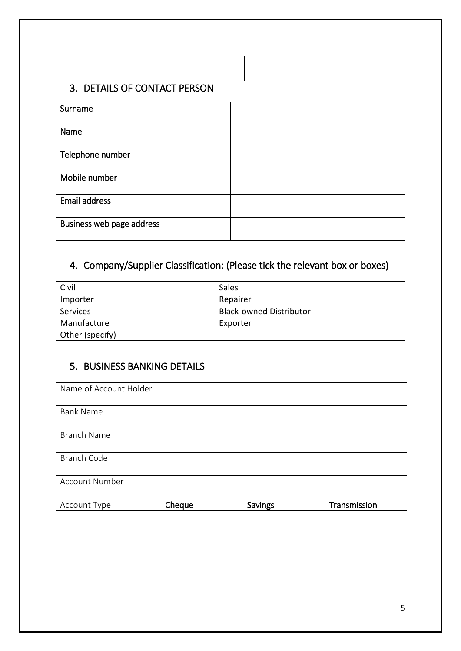#### 3. DETAILS OF CONTACT PERSON

| Surname                   |  |
|---------------------------|--|
|                           |  |
| Name                      |  |
|                           |  |
| Telephone number          |  |
|                           |  |
| Mobile number             |  |
|                           |  |
| <b>Email address</b>      |  |
|                           |  |
| Business web page address |  |
|                           |  |

# 4. Company/Supplier Classification: (Please tick the relevant box or boxes)

| Civil           | Sales                          |  |
|-----------------|--------------------------------|--|
| Importer        | Repairer                       |  |
| Services        | <b>Black-owned Distributor</b> |  |
| Manufacture     | Exporter                       |  |
| Other (specify) |                                |  |

## 5. BUSINESS BANKING DETAILS

| Name of Account Holder |        |         |              |
|------------------------|--------|---------|--------------|
| <b>Bank Name</b>       |        |         |              |
| <b>Branch Name</b>     |        |         |              |
| <b>Branch Code</b>     |        |         |              |
| <b>Account Number</b>  |        |         |              |
| Account Type           | Cheque | Savings | Transmission |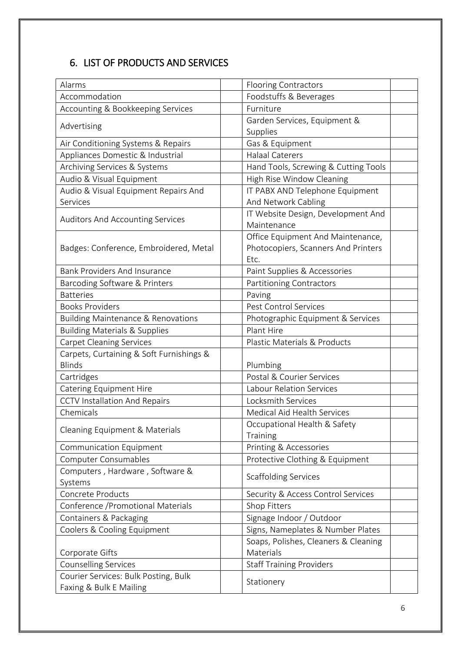# 6. LIST OF PRODUCTS AND SERVICES

| Alarms                                        | <b>Flooring Contractors</b>          |  |
|-----------------------------------------------|--------------------------------------|--|
| Accommodation                                 | Foodstuffs & Beverages               |  |
| Accounting & Bookkeeping Services             | Furniture                            |  |
|                                               | Garden Services, Equipment &         |  |
| Advertising                                   | Supplies                             |  |
| Air Conditioning Systems & Repairs            | Gas & Equipment                      |  |
| Appliances Domestic & Industrial              | <b>Halaal Caterers</b>               |  |
| Archiving Services & Systems                  | Hand Tools, Screwing & Cutting Tools |  |
| Audio & Visual Equipment                      | High Rise Window Cleaning            |  |
| Audio & Visual Equipment Repairs And          | IT PABX AND Telephone Equipment      |  |
| Services                                      | And Network Cabling                  |  |
|                                               | IT Website Design, Development And   |  |
| <b>Auditors And Accounting Services</b>       | Maintenance                          |  |
|                                               | Office Equipment And Maintenance,    |  |
| Badges: Conference, Embroidered, Metal        | Photocopiers, Scanners And Printers  |  |
|                                               | Etc.                                 |  |
| <b>Bank Providers And Insurance</b>           | Paint Supplies & Accessories         |  |
| Barcoding Software & Printers                 | <b>Partitioning Contractors</b>      |  |
| <b>Batteries</b>                              | Paving                               |  |
| <b>Books Providers</b>                        | Pest Control Services                |  |
| <b>Building Maintenance &amp; Renovations</b> | Photographic Equipment & Services    |  |
| <b>Building Materials &amp; Supplies</b>      | Plant Hire                           |  |
| <b>Carpet Cleaning Services</b>               | Plastic Materials & Products         |  |
| Carpets, Curtaining & Soft Furnishings &      |                                      |  |
| <b>Blinds</b>                                 | Plumbing                             |  |
| Cartridges                                    | Postal & Courier Services            |  |
| Catering Equipment Hire                       | <b>Labour Relation Services</b>      |  |
| <b>CCTV Installation And Repairs</b>          | Locksmith Services                   |  |
| Chemicals                                     | Medical Aid Health Services          |  |
| Cleaning Equipment & Materials                | Occupational Health & Safety         |  |
|                                               | Training                             |  |
| Communication Equipment                       | Printing & Accessories               |  |
| Computer Consumables                          | Protective Clothing & Equipment      |  |
| Computers, Hardware, Software &               | <b>Scaffolding Services</b>          |  |
| Systems                                       |                                      |  |
| Concrete Products                             | Security & Access Control Services   |  |
| Conference / Promotional Materials            | Shop Fitters                         |  |
| Containers & Packaging                        | Signage Indoor / Outdoor             |  |
| Coolers & Cooling Equipment                   | Signs, Nameplates & Number Plates    |  |
|                                               | Soaps, Polishes, Cleaners & Cleaning |  |
| Corporate Gifts                               | Materials                            |  |
| <b>Counselling Services</b>                   | <b>Staff Training Providers</b>      |  |
| Courier Services: Bulk Posting, Bulk          | Stationery                           |  |
| Faxing & Bulk E Mailing                       |                                      |  |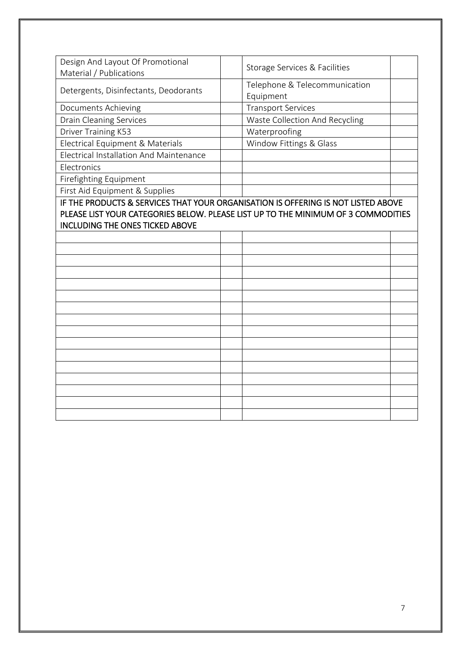| Design And Layout Of Promotional<br>Material / Publications                                                                                                                                                      | Storage Services & Facilities              |  |
|------------------------------------------------------------------------------------------------------------------------------------------------------------------------------------------------------------------|--------------------------------------------|--|
| Detergents, Disinfectants, Deodorants                                                                                                                                                                            | Telephone & Telecommunication<br>Equipment |  |
| Documents Achieving                                                                                                                                                                                              | <b>Transport Services</b>                  |  |
| <b>Drain Cleaning Services</b>                                                                                                                                                                                   | Waste Collection And Recycling             |  |
| Driver Training K53                                                                                                                                                                                              | Waterproofing                              |  |
| Electrical Equipment & Materials                                                                                                                                                                                 | Window Fittings & Glass                    |  |
| Electrical Installation And Maintenance                                                                                                                                                                          |                                            |  |
| Electronics                                                                                                                                                                                                      |                                            |  |
| Firefighting Equipment                                                                                                                                                                                           |                                            |  |
| First Aid Equipment & Supplies                                                                                                                                                                                   |                                            |  |
| IF THE PRODUCTS & SERVICES THAT YOUR ORGANISATION IS OFFERING IS NOT LISTED ABOVE<br>PLEASE LIST YOUR CATEGORIES BELOW. PLEASE LIST UP TO THE MINIMUM OF 3 COMMODITIES<br><b>INCLUDING THE ONES TICKED ABOVE</b> |                                            |  |
|                                                                                                                                                                                                                  |                                            |  |
|                                                                                                                                                                                                                  |                                            |  |
|                                                                                                                                                                                                                  |                                            |  |
|                                                                                                                                                                                                                  |                                            |  |
|                                                                                                                                                                                                                  |                                            |  |
|                                                                                                                                                                                                                  |                                            |  |
|                                                                                                                                                                                                                  |                                            |  |
|                                                                                                                                                                                                                  |                                            |  |
|                                                                                                                                                                                                                  |                                            |  |
|                                                                                                                                                                                                                  |                                            |  |
|                                                                                                                                                                                                                  |                                            |  |
|                                                                                                                                                                                                                  |                                            |  |
|                                                                                                                                                                                                                  |                                            |  |
|                                                                                                                                                                                                                  |                                            |  |
|                                                                                                                                                                                                                  |                                            |  |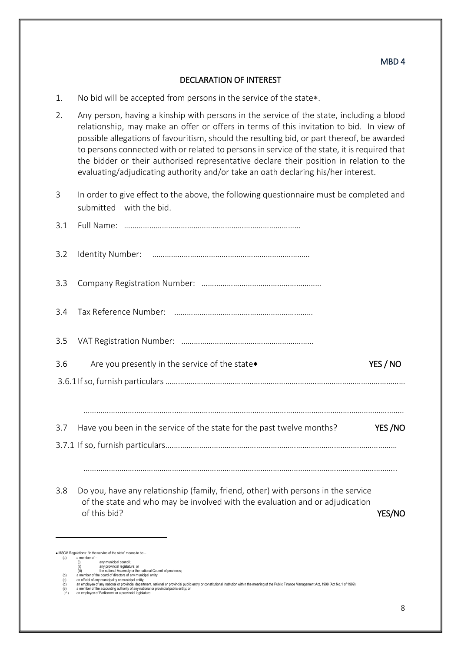#### DECLARATION OF INTEREST

- 1. No bid will be accepted from persons in the service of the state.
- 2. Any person, having a kinship with persons in the service of the state, including a blood relationship, may make an offer or offers in terms of this invitation to bid. In view of possible allegations of favouritism, should the resulting bid, or part thereof, be awarded to persons connected with or related to persons in service of the state, it is required that the bidder or their authorised representative declare their position in relation to the evaluating/adjudicating authority and/or take an oath declaring his/her interest.
- 3 In order to give effect to the above, the following questionnaire must be completed and submitted with the bid.

| Are you presently in the service of the state*                                                                                                                                    | YES / NO      |
|-----------------------------------------------------------------------------------------------------------------------------------------------------------------------------------|---------------|
|                                                                                                                                                                                   |               |
|                                                                                                                                                                                   |               |
| Have you been in the service of the state for the past twelve months?                                                                                                             | YES/NO        |
|                                                                                                                                                                                   |               |
|                                                                                                                                                                                   |               |
| Do you, have any relationship (family, friend, other) with persons in the service<br>of the state and who may be involved with the evaluation and or adjudication<br>of this bid? | <b>YES/NO</b> |
| * MSCM Regulations: "in the service of the state" means to be -                                                                                                                   |               |
|                                                                                                                                                                                   |               |

(a) a member of – a member or -<br>(i) any municipal council;

<sup>(</sup>ii) any provincial legislature; or<br>(iii) the national Assembly or the national Council of provinces;<br>(b) a member of the board of directors of any municipal entity;<br>(c) an official of any municipal entity;<br>(d) a memployee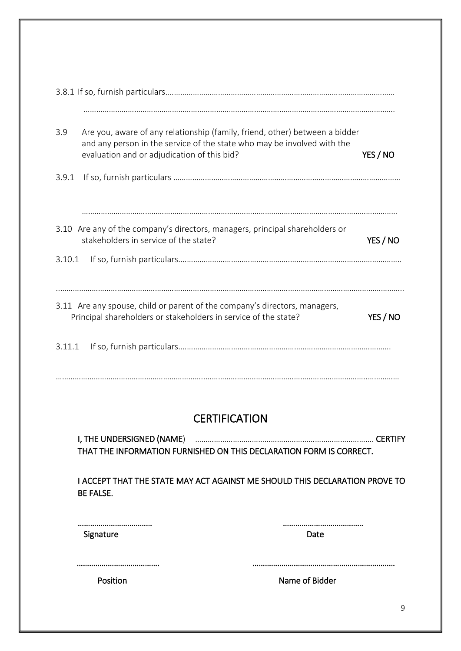| 3.9    | evaluation and or adjudication of this bid?                     | Are you, aware of any relationship (family, friend, other) between a bidder<br>and any person in the service of the state who may be involved with the | YES / NO |
|--------|-----------------------------------------------------------------|--------------------------------------------------------------------------------------------------------------------------------------------------------|----------|
| 3.9.1  |                                                                 |                                                                                                                                                        |          |
|        |                                                                 |                                                                                                                                                        |          |
|        |                                                                 | 3.10 Are any of the company's directors, managers, principal shareholders or                                                                           |          |
|        | stakeholders in service of the state?                           |                                                                                                                                                        | YES / NO |
| 3.10.1 |                                                                 |                                                                                                                                                        |          |
|        |                                                                 |                                                                                                                                                        |          |
|        | Principal shareholders or stakeholders in service of the state? | 3.11 Are any spouse, child or parent of the company's directors, managers,                                                                             | YES / NO |
|        |                                                                 |                                                                                                                                                        |          |
|        |                                                                 |                                                                                                                                                        |          |
|        |                                                                 |                                                                                                                                                        |          |
|        |                                                                 | <b>CERTIFICATION</b>                                                                                                                                   |          |
|        |                                                                 |                                                                                                                                                        |          |
|        | I, THE UNDERSIGNED (NAME)                                       | THAT THE INFORMATION FURNISHED ON THIS DECLARATION FORM IS CORRECT.                                                                                    |          |
|        | <b>BE FALSE.</b>                                                | I ACCEPT THAT THE STATE MAY ACT AGAINST ME SHOULD THIS DECLARATION PROVE TO                                                                            |          |
|        |                                                                 |                                                                                                                                                        |          |
|        | Signature                                                       | Date                                                                                                                                                   |          |
|        |                                                                 |                                                                                                                                                        |          |
|        | Position                                                        | Name of Bidder                                                                                                                                         |          |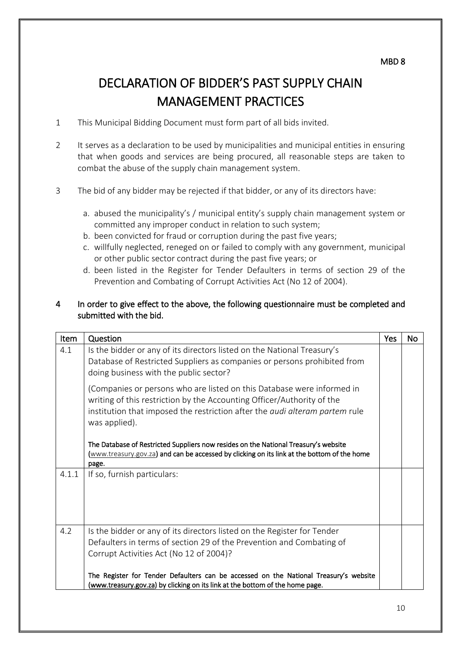# DECLARATION OF BIDDER'S PAST SUPPLY CHAIN MANAGEMENT PRACTICES

- 1 This Municipal Bidding Document must form part of all bids invited.
- 2 It serves as a declaration to be used by municipalities and municipal entities in ensuring that when goods and services are being procured, all reasonable steps are taken to combat the abuse of the supply chain management system.
- 3 The bid of any bidder may be rejected if that bidder, or any of its directors have:
	- a. abused the municipality's / municipal entity's supply chain management system or committed any improper conduct in relation to such system;
	- b. been convicted for fraud or corruption during the past five years;
	- c. willfully neglected, reneged on or failed to comply with any government, municipal or other public sector contract during the past five years; or
	- d. been listed in the Register for Tender Defaulters in terms of section 29 of the Prevention and Combating of Corrupt Activities Act (No 12 of 2004).

#### 4 In order to give effect to the above, the following questionnaire must be completed and submitted with the bid.

| Item  | Question                                                                                                                                                                                                                                                | Yes | No |
|-------|---------------------------------------------------------------------------------------------------------------------------------------------------------------------------------------------------------------------------------------------------------|-----|----|
| 4.1   | Is the bidder or any of its directors listed on the National Treasury's<br>Database of Restricted Suppliers as companies or persons prohibited from<br>doing business with the public sector?                                                           |     |    |
|       | (Companies or persons who are listed on this Database were informed in<br>writing of this restriction by the Accounting Officer/Authority of the<br>institution that imposed the restriction after the <i>audi alteram partem</i> rule<br>was applied). |     |    |
|       | The Database of Restricted Suppliers now resides on the National Treasury's website<br>(www.treasury.gov.za) and can be accessed by clicking on its link at the bottom of the home<br>page.                                                             |     |    |
| 4.1.1 | If so, furnish particulars:                                                                                                                                                                                                                             |     |    |
| 4.2   | Is the bidder or any of its directors listed on the Register for Tender<br>Defaulters in terms of section 29 of the Prevention and Combating of<br>Corrupt Activities Act (No 12 of 2004)?                                                              |     |    |
|       | The Register for Tender Defaulters can be accessed on the National Treasury's website<br>(www.treasury.gov.za) by clicking on its link at the bottom of the home page.                                                                                  |     |    |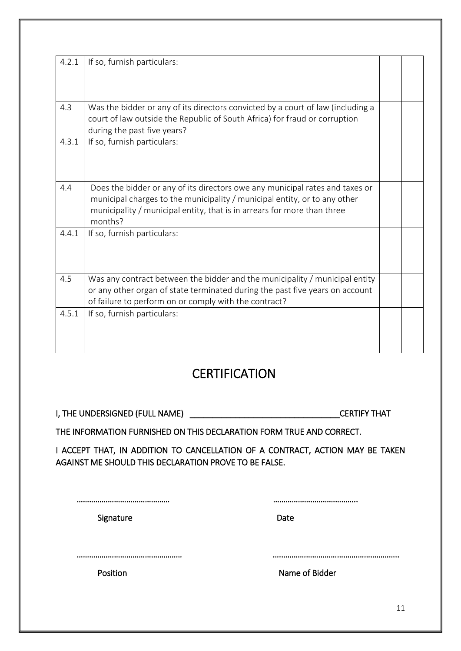| 4.2.1 | If so, furnish particulars:                                                                                                                                                                                                                     |  |
|-------|-------------------------------------------------------------------------------------------------------------------------------------------------------------------------------------------------------------------------------------------------|--|
| 4.3   | Was the bidder or any of its directors convicted by a court of law (including a<br>court of law outside the Republic of South Africa) for fraud or corruption<br>during the past five years?                                                    |  |
| 4.3.1 | If so, furnish particulars:                                                                                                                                                                                                                     |  |
| 4.4   | Does the bidder or any of its directors owe any municipal rates and taxes or<br>municipal charges to the municipality / municipal entity, or to any other<br>municipality / municipal entity, that is in arrears for more than three<br>months? |  |
| 4.4.1 | If so, furnish particulars:                                                                                                                                                                                                                     |  |
| 4.5   | Was any contract between the bidder and the municipality / municipal entity<br>or any other organ of state terminated during the past five years on account<br>of failure to perform on or comply with the contract?                            |  |
| 4.5.1 | If so, furnish particulars:                                                                                                                                                                                                                     |  |

# **CERTIFICATION**

I, THE UNDERSIGNED (FULL NAME) \_\_\_\_\_\_\_\_\_\_\_\_\_\_\_\_\_\_\_\_\_\_\_\_\_\_\_\_\_\_\_\_\_CERTIFY THAT

THE INFORMATION FURNISHED ON THIS DECLARATION FORM TRUE AND CORRECT.

I ACCEPT THAT, IN ADDITION TO CANCELLATION OF A CONTRACT, ACTION MAY BE TAKEN AGAINST ME SHOULD THIS DECLARATION PROVE TO BE FALSE.

……………………………………… …………………………………..

Signature Date Date

…………………………………………… ….……………………………….………………..

Position **Name of Bidder**